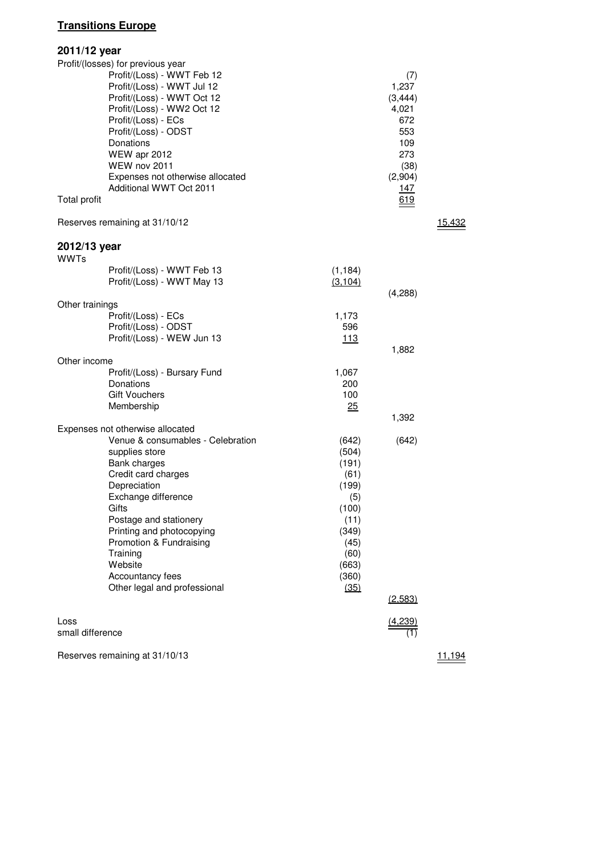## **Transitions Europe**

| 2011/12 year                |                                                                                                                                                                                                                                                                                                                      |                                                                                                                     |                                                                                                       |               |
|-----------------------------|----------------------------------------------------------------------------------------------------------------------------------------------------------------------------------------------------------------------------------------------------------------------------------------------------------------------|---------------------------------------------------------------------------------------------------------------------|-------------------------------------------------------------------------------------------------------|---------------|
| Total profit                | Profit/(losses) for previous year<br>Profit/(Loss) - WWT Feb 12<br>Profit/(Loss) - WWT Jul 12<br>Profit/(Loss) - WWT Oct 12<br>Profit/(Loss) - WW2 Oct 12<br>Profit/(Loss) - ECs<br>Profit/(Loss) - ODST<br>Donations<br>WEW apr 2012<br>WEW nov 2011<br>Expenses not otherwise allocated<br>Additional WWT Oct 2011 |                                                                                                                     | (7)<br>1,237<br>(3, 444)<br>4,021<br>672<br>553<br>109<br>273<br>(38)<br>(2,904)<br><u>147</u><br>619 |               |
|                             | Reserves remaining at 31/10/12                                                                                                                                                                                                                                                                                       |                                                                                                                     |                                                                                                       | <u>15,432</u> |
| 2012/13 year<br><b>WWTs</b> |                                                                                                                                                                                                                                                                                                                      |                                                                                                                     |                                                                                                       |               |
|                             | Profit/(Loss) - WWT Feb 13<br>Profit/(Loss) - WWT May 13                                                                                                                                                                                                                                                             | (1, 184)<br>(3, 104)                                                                                                | (4,288)                                                                                               |               |
| Other trainings             | Profit/(Loss) - ECs<br>Profit/(Loss) - ODST                                                                                                                                                                                                                                                                          | 1,173<br>596                                                                                                        |                                                                                                       |               |
|                             | Profit/(Loss) - WEW Jun 13                                                                                                                                                                                                                                                                                           | 113                                                                                                                 | 1,882                                                                                                 |               |
| Other income                |                                                                                                                                                                                                                                                                                                                      |                                                                                                                     |                                                                                                       |               |
|                             | Profit/(Loss) - Bursary Fund<br>Donations<br><b>Gift Vouchers</b><br>Membership                                                                                                                                                                                                                                      | 1,067<br>200<br>100<br>25                                                                                           |                                                                                                       |               |
|                             | Expenses not otherwise allocated                                                                                                                                                                                                                                                                                     |                                                                                                                     | 1,392                                                                                                 |               |
|                             | Venue & consumables - Celebration<br>supplies store<br><b>Bank charges</b><br>Credit card charges<br>Depreciation<br>Exchange difference<br>Gifts<br>Postage and stationery<br>Printing and photocopying<br>Promotion & Fundraising<br>Training<br>Website<br>Accountancy fees<br>Other legal and professional       | (642)<br>(504)<br>(191)<br>(61)<br>(199)<br>(5)<br>(100)<br>(11)<br>(349)<br>(45)<br>(60)<br>(663)<br>(360)<br>(35) | (642)<br>(2,583)                                                                                      |               |
| Loss                        |                                                                                                                                                                                                                                                                                                                      |                                                                                                                     |                                                                                                       |               |
| small difference            |                                                                                                                                                                                                                                                                                                                      |                                                                                                                     |                                                                                                       |               |
|                             | Reserves remaining at 31/10/13                                                                                                                                                                                                                                                                                       |                                                                                                                     |                                                                                                       | 11,194        |